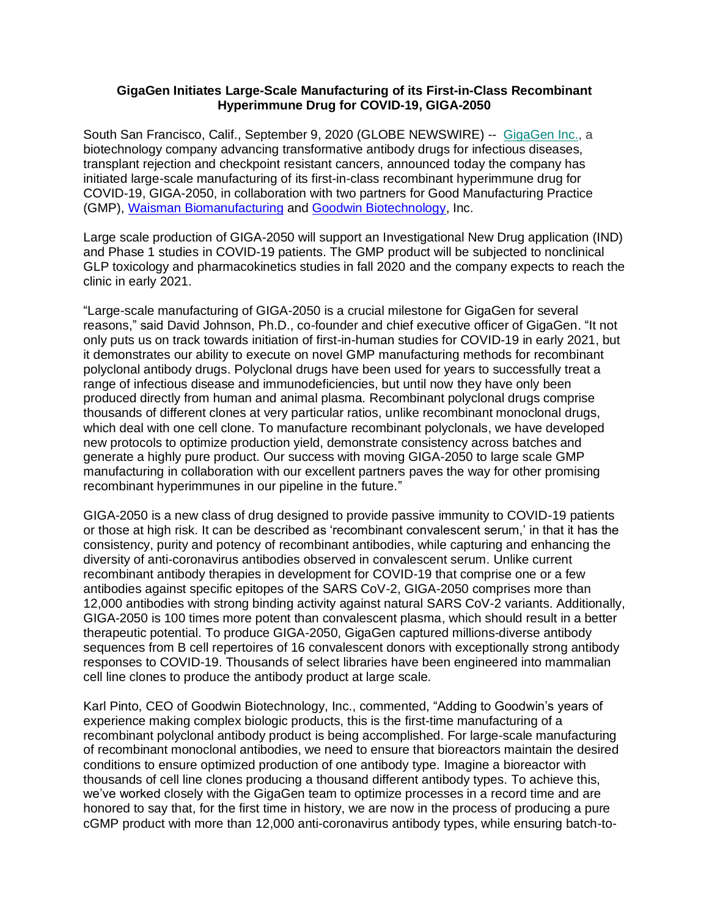## **GigaGen Initiates Large-Scale Manufacturing of its First-in-Class Recombinant Hyperimmune Drug for COVID-19, GIGA-2050**

South San Francisco, Calif., September 9, 2020 (GLOBE NEWSWIRE) -- [GigaGen Inc.,](https://c212.net/c/link/?t=0&l=en&o=2528283-1&h=1934087907&u=http%3A%2F%2Fwww.gigagen.com%2F&a=GigaGen+Inc.) a biotechnology company advancing transformative antibody drugs for infectious diseases, transplant rejection and checkpoint resistant cancers, announced today the company has initiated large-scale manufacturing of its first-in-class recombinant hyperimmune drug for COVID-19, GIGA-2050, in collaboration with two partners for Good Manufacturing Practice (GMP), [Waisman Biomanufacturing](https://gmpbio.org/) and [Goodwin Biotechnology,](https://www.goodwinbiotechnology.com/) Inc.

Large scale production of GIGA-2050 will support an Investigational New Drug application (IND) and Phase 1 studies in COVID-19 patients. The GMP product will be subjected to nonclinical GLP toxicology and pharmacokinetics studies in fall 2020 and the company expects to reach the clinic in early 2021.

"Large-scale manufacturing of GIGA-2050 is a crucial milestone for GigaGen for several reasons," said David Johnson, Ph.D., co-founder and chief executive officer of GigaGen. "It not only puts us on track towards initiation of first-in-human studies for COVID-19 in early 2021, but it demonstrates our ability to execute on novel GMP manufacturing methods for recombinant polyclonal antibody drugs. Polyclonal drugs have been used for years to successfully treat a range of infectious disease and immunodeficiencies, but until now they have only been produced directly from human and animal plasma. Recombinant polyclonal drugs comprise thousands of different clones at very particular ratios, unlike recombinant monoclonal drugs, which deal with one cell clone. To manufacture recombinant polyclonals, we have developed new protocols to optimize production yield, demonstrate consistency across batches and generate a highly pure product. Our success with moving GIGA-2050 to large scale GMP manufacturing in collaboration with our excellent partners paves the way for other promising recombinant hyperimmunes in our pipeline in the future."

GIGA-2050 is a new class of drug designed to provide passive immunity to COVID-19 patients or those at high risk. It can be described as 'recombinant convalescent serum,' in that it has the consistency, purity and potency of recombinant antibodies, while capturing and enhancing the diversity of anti-coronavirus antibodies observed in convalescent serum. Unlike current recombinant antibody therapies in development for COVID-19 that comprise one or a few antibodies against specific epitopes of the SARS CoV-2, GIGA-2050 comprises more than 12,000 antibodies with strong binding activity against natural SARS CoV-2 variants. Additionally, GIGA-2050 is 100 times more potent than convalescent plasma, which should result in a better therapeutic potential. To produce GIGA-2050, GigaGen captured millions-diverse antibody sequences from B cell repertoires of 16 convalescent donors with exceptionally strong antibody responses to COVID-19. Thousands of select libraries have been engineered into mammalian cell line clones to produce the antibody product at large scale.

Karl Pinto, CEO of Goodwin Biotechnology, Inc., commented, "Adding to Goodwin's years of experience making complex biologic products, this is the first-time manufacturing of a recombinant polyclonal antibody product is being accomplished. For large-scale manufacturing of recombinant monoclonal antibodies, we need to ensure that bioreactors maintain the desired conditions to ensure optimized production of one antibody type. Imagine a bioreactor with thousands of cell line clones producing a thousand different antibody types. To achieve this, we've worked closely with the GigaGen team to optimize processes in a record time and are honored to say that, for the first time in history, we are now in the process of producing a pure cGMP product with more than 12,000 anti-coronavirus antibody types, while ensuring batch-to